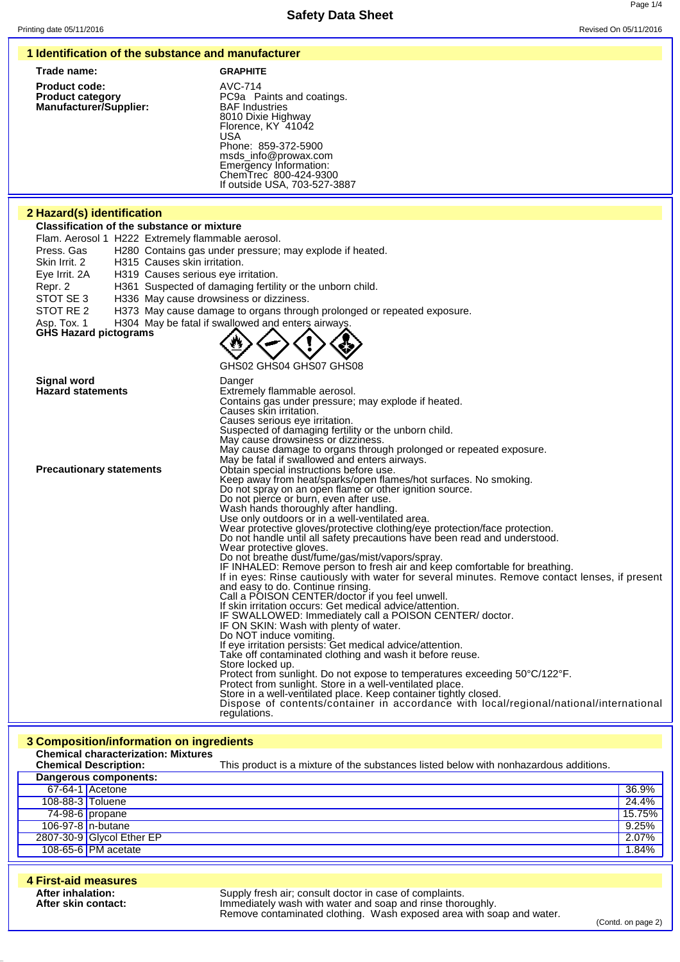|  | 1 Identification of the substance and manufacturer |  |  |  |  |
|--|----------------------------------------------------|--|--|--|--|
|--|----------------------------------------------------|--|--|--|--|

| Trade name:                                                                      | <b>GRAPHITE</b>                                                                                                                                                                           |
|----------------------------------------------------------------------------------|-------------------------------------------------------------------------------------------------------------------------------------------------------------------------------------------|
| <b>Product code:</b><br><b>Product category</b><br><b>Manufacturer/Supplier:</b> | AVC-714<br>PC9a Paints and coatings.<br><b>BAF</b> Industries<br>8010 Dixie Highway<br>Florence, KY 41042<br>USA<br>Phone: 859-372-5900<br>msds_info@prowax.com<br>Emergency Information: |

## **2 Hazard(s) identification**

**Classification of the substance or mixture**

Flam. Aerosol 1 H222 Extremely flammable aerosol.

Press. Gas H280 Contains gas under pressure; may explode if heated.

Skin Irrit. 2 H315 Causes skin irritation.

Eye Irrit. 2A H319 Causes serious eye irritation.

- Repr. 2 H361 Suspected of damaging fertility or the unborn child.<br>STOT SE 3 H336 May cause drowsiness or dizziness.
- H336 May cause drowsiness or dizziness.
- STOT RE 2 H373 May cause damage to organs through prolonged or repeated exposure.

Asp. Tox. 1 H304 May be fatal if swallowed and enters airways

```
GHS Hazard pictograms
```


ChemTrec 800-424-9300 If outside USA, 703-527-3887

GHS02 GHS04 GHS07 GHS08

| <b>Signal word</b>              | Danger                                                                                         |
|---------------------------------|------------------------------------------------------------------------------------------------|
| <b>Hazard statements</b>        | Extremely flammable aerosol.                                                                   |
|                                 | Contains gas under pressure; may explode if heated.                                            |
|                                 | Causes skin irritation.                                                                        |
|                                 | Causes serious eye irritation.                                                                 |
|                                 | Suspected of damaging fertility or the unborn child.                                           |
|                                 | May cause drowsiness or dizziness.                                                             |
|                                 | May cause damage to organs through prolonged or repeated exposure.                             |
|                                 | May be fatal if swallowed and enters airways.                                                  |
| <b>Precautionary statements</b> | Obtain special instructions before use.                                                        |
|                                 | Keep away from heat/sparks/open flames/hot surfaces. No smoking.                               |
|                                 | Do not spray on an open flame or other ignition source.                                        |
|                                 | Do not pierce or burn, even after use.                                                         |
|                                 | Wash hands thoroughly after handling.                                                          |
|                                 | Use only outdoors or in a well-ventilated area.                                                |
|                                 | Wear protective gloves/protective clothing/eye protection/face protection.                     |
|                                 | Do not handle until all safety precautions have been read and understood.                      |
|                                 | Wear protective gloves.                                                                        |
|                                 | Do not breathe dust/fume/gas/mist/vapors/spray.                                                |
|                                 | IF INHALED: Remove person to fresh air and keep comfortable for breathing.                     |
|                                 | If in eyes: Rinse cautiously with water for several minutes. Remove contact lenses, if present |
|                                 | and easy to do. Continue rinsing.                                                              |
|                                 | Call a POISON CENTER/doctor if you feel unwell.                                                |
|                                 | If skin irritation occurs: Get medical advice/attention.                                       |
|                                 | IF SWALLOWED: Immediately call a POISON CENTER/ doctor.                                        |
|                                 | IF ON SKIN: Wash with plenty of water.                                                         |
|                                 | Do NOT induce vomiting.                                                                        |
|                                 | If eye irritation persists: Get medical advice/attention.                                      |
|                                 | Take off contaminated clothing and wash it before reuse.                                       |
|                                 | Store locked up.                                                                               |
|                                 | Protect from sunlight. Do not expose to temperatures exceeding 50°C/122°F.                     |
|                                 | Protect from sunlight. Store in a well-ventilated place.                                       |
|                                 | Store in a well-ventilated place. Keep container tightly closed.                               |
|                                 | Dispose of contents/container in accordance with local/regional/national/international         |
|                                 | regulations.                                                                                   |

#### **3 Composition/information on ingredients Chemical characterization: Mixtures** This product is a mixture of the substances listed below with nonhazardous additions. **Dangerous components:** 67-64-1 Acetone 36.9% 108-88-3 Toluene 24.4% 74-98-6 propane 15.75% 106-97-8 n-butane <mark>9.25% من المركز المركز المركز المركز ال</mark>مركز المركز المركز المركز المركز المركز المركز المركز ا<br>1807-30-9 Glycol Ether EP و 2.07% من المركز المركز المركز المركز المركز المركز المركز المركز المركز المركز 2807-30-9 Glycol Ether EP 108-65-6 PM acetate 1.84%

| 4 First-aid measures                     |                                                                                                                                                                                               |
|------------------------------------------|-----------------------------------------------------------------------------------------------------------------------------------------------------------------------------------------------|
| After inhalation:<br>After skin contact: | Supply fresh air; consult doctor in case of complaints.<br>Immediately wash with water and soap and rinse thoroughly.<br>Remove contaminated clothing. Wash exposed area with soap and water. |

(Contd. on page 2)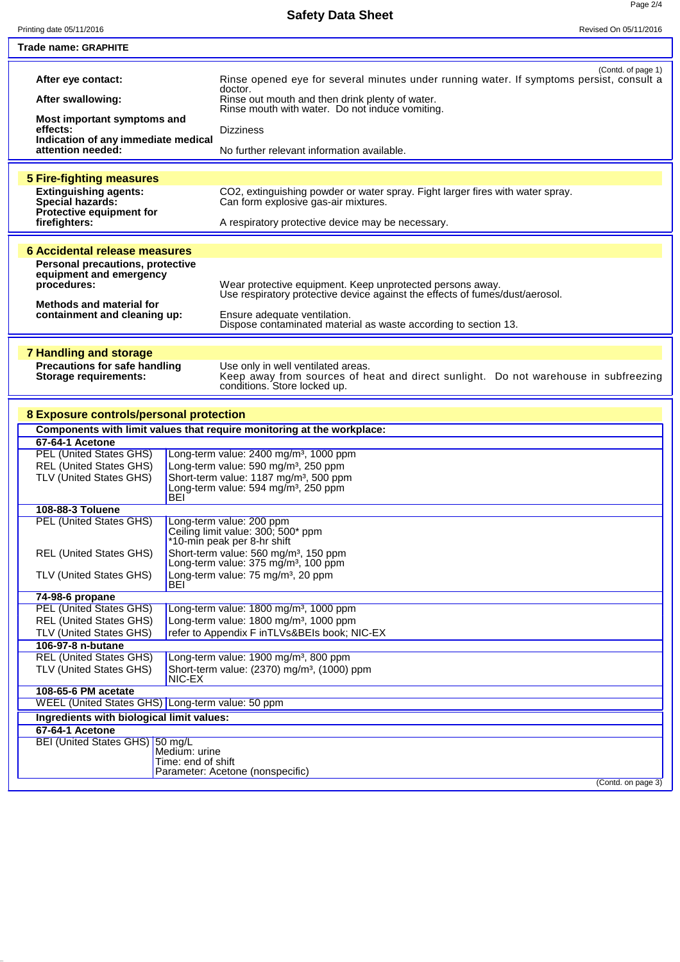| Printing date 05/11/2016                                  |                                     | Revised On 05/11/2016                                                                                                  |
|-----------------------------------------------------------|-------------------------------------|------------------------------------------------------------------------------------------------------------------------|
| Trade name: GRAPHITE                                      |                                     |                                                                                                                        |
|                                                           |                                     |                                                                                                                        |
| After eye contact:                                        |                                     | (Contd. of page 1)<br>Rinse opened eye for several minutes under running water. If symptoms persist, consult a         |
| After swallowing:                                         |                                     | doctor.<br>Rinse out mouth and then drink plenty of water.                                                             |
| Most important symptoms and                               |                                     | Rinse mouth with water. Do not induce vomiting.                                                                        |
| effects:                                                  |                                     | <b>Dizziness</b>                                                                                                       |
| Indication of any immediate medical<br>attention needed:  |                                     | No further relevant information available.                                                                             |
|                                                           |                                     |                                                                                                                        |
| <b>5 Fire-fighting measures</b>                           |                                     |                                                                                                                        |
| <b>Extinguishing agents:</b><br>Special hazards:          |                                     | CO2, extinguishing powder or water spray. Fight larger fires with water spray.<br>Can form explosive gas-air mixtures. |
| Protective equipment for                                  |                                     |                                                                                                                        |
| firefighters:                                             |                                     | A respiratory protective device may be necessary.                                                                      |
|                                                           |                                     |                                                                                                                        |
| 6 Accidental release measures                             |                                     |                                                                                                                        |
| Personal precautions, protective                          |                                     |                                                                                                                        |
| equipment and emergency                                   |                                     | Wear protective equipment. Keep unprotected persons away.                                                              |
| procedures:                                               |                                     | Use respiratory protective device against the effects of fumes/dust/aerosol.                                           |
| Methods and material for                                  |                                     |                                                                                                                        |
| containment and cleaning up:                              |                                     | Ensure adequate ventilation.                                                                                           |
|                                                           |                                     | Dispose contaminated material as waste according to section 13.                                                        |
|                                                           |                                     |                                                                                                                        |
| <b>7 Handling and storage</b>                             |                                     |                                                                                                                        |
| <b>Precautions for safe handling</b>                      |                                     | Use only in well ventilated areas.                                                                                     |
| <b>Storage requirements:</b>                              |                                     | Keep away from sources of heat and direct sunlight. Do not warehouse in subfreezing<br>conditions. Store locked up.    |
|                                                           |                                     |                                                                                                                        |
|                                                           |                                     |                                                                                                                        |
| 8 Exposure controls/personal protection                   |                                     |                                                                                                                        |
|                                                           |                                     | Components with limit values that require monitoring at the workplace:                                                 |
| 67-64-1 Acetone                                           |                                     |                                                                                                                        |
| <b>PEL (United States GHS)</b>                            |                                     | Long-term value: 2400 mg/m <sup>3</sup> , 1000 ppm<br>Long-term value: 590 mg/m <sup>3</sup> , 250 ppm                 |
| <b>REL (United States GHS)</b><br>TLV (United States GHS) |                                     | Short-term value: 1187 mg/m <sup>3</sup> , 500 ppm                                                                     |
|                                                           |                                     | Long-term value: 594 mg/m <sup>3</sup> , 250 ppm                                                                       |
|                                                           | BEI                                 |                                                                                                                        |
| 108-88-3 Toluene                                          |                                     |                                                                                                                        |
| <b>PEL (United States GHS)</b>                            |                                     | Long-term value: 200 ppm                                                                                               |
|                                                           |                                     | Ceiling limit value: 300; 500* ppm<br>*10-min peak per 8-hr shift                                                      |
| <b>REL (United States GHS)</b>                            |                                     | Short-term value: 560 mg/m <sup>3</sup> , 150 ppm                                                                      |
|                                                           |                                     | Long-term value: 375 mg/m <sup>3</sup> , 100 ppm                                                                       |
| TLV (United States GHS)                                   |                                     | Long-term value: 75 mg/m <sup>3</sup> , 20 ppm                                                                         |
|                                                           | BEI                                 |                                                                                                                        |
| 74-98-6 propane                                           |                                     |                                                                                                                        |
| <b>PEL (United States GHS)</b>                            |                                     | Long-term value: 1800 mg/m <sup>3</sup> , 1000 ppm                                                                     |
| <b>REL (United States GHS)</b><br>TLV (United States GHS) |                                     | Long-term value: 1800 mg/m <sup>3</sup> , 1000 ppm<br>refer to Appendix F inTLVs&BEIs book; NIC-EX                     |
| 106-97-8 n-butane                                         |                                     |                                                                                                                        |
| <b>REL (United States GHS)</b>                            |                                     | Long-term value: 1900 mg/m <sup>3</sup> , 800 ppm                                                                      |
| TLV (United States GHS)                                   |                                     | Short-term value: (2370) mg/m <sup>3</sup> , (1000) ppm                                                                |
|                                                           | NIC-EX                              |                                                                                                                        |
| 108-65-6 PM acetate                                       |                                     |                                                                                                                        |
| WEEL (United States GHS) Long-term value: 50 ppm          |                                     |                                                                                                                        |
| Ingredients with biological limit values:                 |                                     |                                                                                                                        |
| 67-64-1 Acetone                                           |                                     |                                                                                                                        |
| BEI (United States GHS) 50 mg/L                           |                                     |                                                                                                                        |
|                                                           | Medium: urine<br>Time: end of shift |                                                                                                                        |
|                                                           |                                     |                                                                                                                        |
|                                                           |                                     |                                                                                                                        |
|                                                           |                                     | Parameter: Acetone (nonspecific)<br>(Contd. on page 3)                                                                 |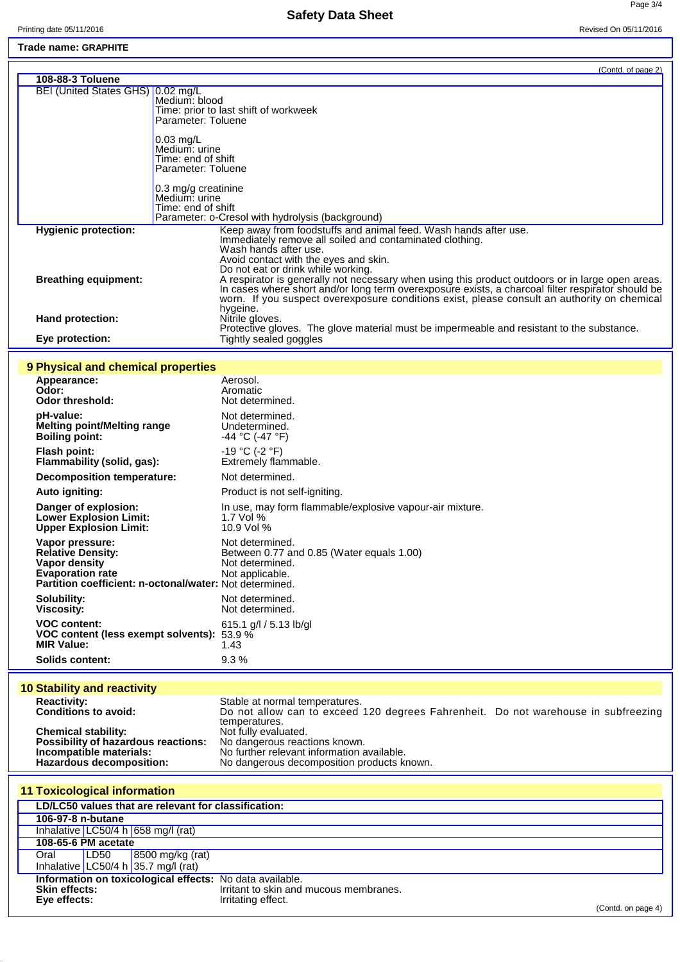# **Safety Data Sheet**

Page 3/4

### **Trade name: GRAPHITE**

|                                   | (Contd. of page 2)                                                                                                                                                                                                                                                                                               |
|-----------------------------------|------------------------------------------------------------------------------------------------------------------------------------------------------------------------------------------------------------------------------------------------------------------------------------------------------------------|
| 108-88-3 Toluene                  |                                                                                                                                                                                                                                                                                                                  |
| BEI (United States GHS) 0.02 mg/L | Medium: blood<br>Time: prior to last shift of workweek<br>Parameter: Toluene                                                                                                                                                                                                                                     |
|                                   | $0.03$ mg/L<br>Medium: urine<br>Time: end of shift<br>Parameter: Toluene                                                                                                                                                                                                                                         |
|                                   | 0.3 mg/g creatinine<br>Medium: urine<br>Time: end of shift<br>Parameter: o-Cresol with hydrolysis (background)                                                                                                                                                                                                   |
| <b>Hygienic protection:</b>       | Keep away from foodstuffs and animal feed. Wash hands after use.<br>Immediately remove all soiled and contaminated clothing.<br>Wash hands after use.<br>Avoid contact with the eyes and skin.<br>Do not eat or drink while working.                                                                             |
| <b>Breathing equipment:</b>       | A respirator is generally not necessary when using this product outdoors or in large open areas.<br>In cases where short and/or long term overexposure exists, a charcoal filter respirator should be<br>worn. If you suspect overexposure conditions exist, please consult an authority on chemical<br>hygeine. |
| Hand protection:                  | Nitrile gloves.<br>Protective gloves. The glove material must be impermeable and resistant to the substance.                                                                                                                                                                                                     |
| Eye protection:                   | Tightly sealed goggles                                                                                                                                                                                                                                                                                           |

#### **9 Physical and chemical properties**

| Appearance:<br>Odor:<br><b>Odor threshold:</b>                                                                                                     | Aerosol.<br>Aromatic<br>Not determined.                                                            |
|----------------------------------------------------------------------------------------------------------------------------------------------------|----------------------------------------------------------------------------------------------------|
| pH-value:                                                                                                                                          | Not determined.                                                                                    |
| <b>Melting point/Melting range</b>                                                                                                                 | Undetermined.                                                                                      |
| <b>Boiling point:</b>                                                                                                                              | -44 °C (-47 °F)                                                                                    |
| <b>Flash point:</b>                                                                                                                                | $-19 °C$ (-2 $°F$ )                                                                                |
| Flammability (solid, gas):                                                                                                                         | Extremely flammable.                                                                               |
| Decomposition temperature:                                                                                                                         | Not determined.                                                                                    |
| Auto igniting:                                                                                                                                     | Product is not self-igniting.                                                                      |
| Danger of explosion:                                                                                                                               | In use, may form flammable/explosive vapour-air mixture.                                           |
| <b>Lower Explosion Limit:</b>                                                                                                                      | 1.7 Vol %                                                                                          |
| <b>Upper Explosion Limit:</b>                                                                                                                      | 10.9 Vol %                                                                                         |
| Vapor pressure:<br><b>Relative Density:</b><br>Vapor density<br><b>Evaporation rate</b><br>Partition coefficient: n-octonal/water: Not determined. | Not determined.<br>Between 0.77 and 0.85 (Water equals 1.00)<br>Not determined.<br>Not applicable. |
| Solubility:                                                                                                                                        | Not determined.                                                                                    |
| <b>Viscosity:</b>                                                                                                                                  | Not determined.                                                                                    |
| <b>VOC content:</b>                                                                                                                                | 615.1 $g/l / 5.13$ lb/gl                                                                           |
| VOC content (less exempt solvents):                                                                                                                | 53.9%                                                                                              |
| <b>MIR Value:</b>                                                                                                                                  | 1.43                                                                                               |
| <b>Solids content:</b>                                                                                                                             | 9.3%                                                                                               |

# **10 Stability and reactivity**

| Stable at normal temperatures.                                                     |                               |
|------------------------------------------------------------------------------------|-------------------------------|
| Do not allow can to exceed 120 degrees Fahrenheit. Do not warehouse in subfreezing |                               |
| temperatures.                                                                      |                               |
| Not fully evaluated.                                                               |                               |
|                                                                                    |                               |
| No further relevant information available.                                         |                               |
| No dangerous decomposition products known.                                         |                               |
|                                                                                    | No dangerous reactions known. |

| <b>11 Toxicological information</b>                      |                                        |                                         |                                        |                    |
|----------------------------------------------------------|----------------------------------------|-----------------------------------------|----------------------------------------|--------------------|
| LD/LC50 values that are relevant for classification:     |                                        |                                         |                                        |                    |
| 106-97-8 n-butane                                        |                                        |                                         |                                        |                    |
|                                                          | Inhalative $LC50/4 h   658 mg/1 (rat)$ |                                         |                                        |                    |
| 108-65-6 PM acetate                                      |                                        |                                         |                                        |                    |
| Oral                                                     | LD50                                   | 8500 mg/kg (rat)                        |                                        |                    |
|                                                          |                                        | Inhalative   LC50/4 h   35.7 mg/l (rat) |                                        |                    |
| Information on toxicological effects: No data available. |                                        |                                         |                                        |                    |
| <b>Skin effects:</b><br>Eye effects:                     |                                        |                                         | Irritant to skin and mucous membranes. |                    |
|                                                          |                                        |                                         | Irritating effect.                     | (Contd. on page 4) |